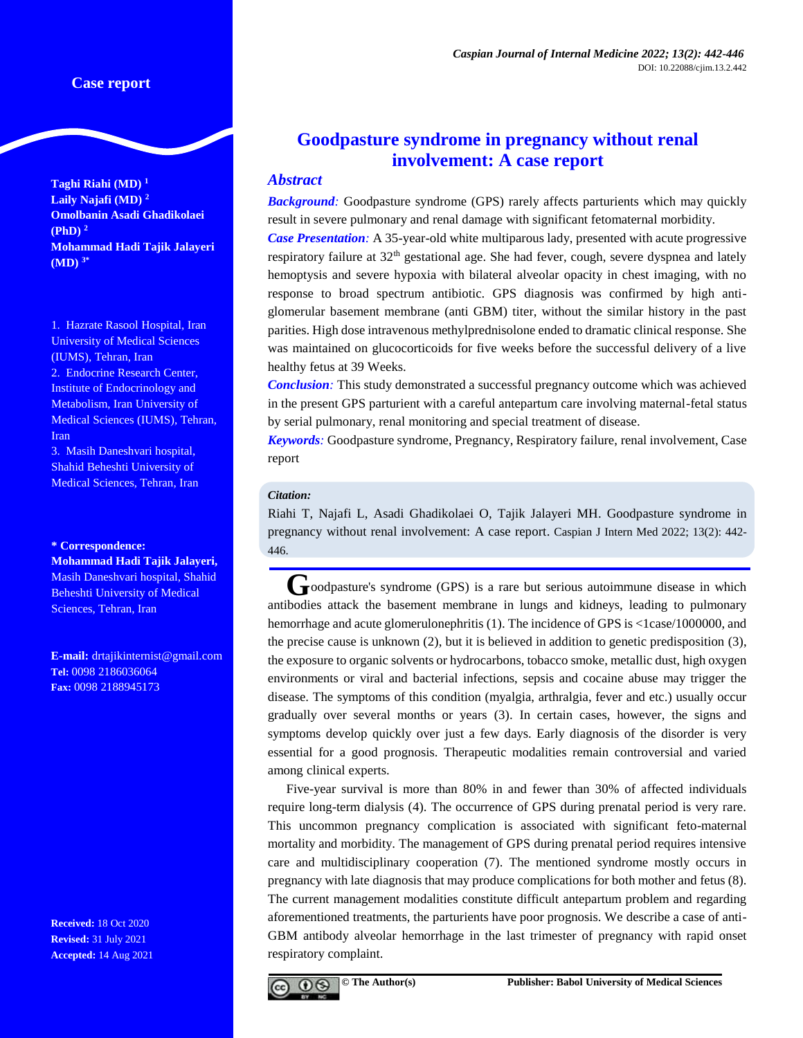**Taghi Riahi (MD) <sup>1</sup> Laily Najafi (MD) <sup>2</sup> Omolbanin Asadi Ghadikolaei (PhD) <sup>2</sup> Mohammad Hadi Tajik Jalayeri (MD) 3\***

1. Hazrate Rasool Hospital, Iran University of Medical Sciences (IUMS), Tehran, Iran 2. Endocrine Research Center, Institute of Endocrinology and Metabolism, Iran University of Medical Sciences (IUMS), Tehran, Iran

3. Masih Daneshvari hospital, Shahid Beheshti University of Medical Sciences, Tehran, Iran

**\* Correspondence:**

**Mohammad Hadi Tajik Jalayeri,** Masih Daneshvari hospital, Shahid Beheshti University of Medical Sciences, Tehran, Iran

**E-mail:** [drtajikinternist@gmail.com](mailto:drtajikinternist@gmail.com) **Tel:** 0098 2186036064 **Fax:** 0098 2188945173

**Received:** 18 Oct 2020 **Revised:** 31 July 2021 **Accepted:** 14 Aug 2021

# **Goodpasture syndrome in pregnancy without renal involvement: A case report**

## *Abstract*

**Background**: Goodpasture syndrome (GPS) rarely affects parturients which may quickly result in severe pulmonary and renal damage with significant fetomaternal morbidity.

*Case Presentation:* A 35-year-old white multiparous lady, presented with acute progressive respiratory failure at  $32<sup>th</sup>$  gestational age. She had fever, cough, severe dyspnea and lately hemoptysis and severe hypoxia with bilateral alveolar opacity in chest imaging, with no response to broad spectrum antibiotic. GPS diagnosis was confirmed by high antiglomerular basement membrane (anti GBM) titer, without the similar history in the past parities. High dose intravenous methylprednisolone ended to dramatic clinical response. She was maintained on glucocorticoids for five weeks before the successful delivery of a live healthy fetus at 39 Weeks.

*Conclusion:* This study demonstrated a successful pregnancy outcome which was achieved in the present GPS parturient with a careful antepartum care involving maternal-fetal status by serial pulmonary, renal monitoring and special treatment of disease.

*Keywords:* Goodpasture syndrome, Pregnancy, Respiratory failure, renal involvement, Case report

## *Citation:*

Riahi T, Najafi L, Asadi Ghadikolaei O, Tajik Jalayeri MH. Goodpasture syndrome in pregnancy without renal involvement: A case report. Caspian J Intern Med 2022; 13(2): 442- 446.

**Goodpasture's syndrome (GPS) is a rare but serious autoimmune disease in which** antibodies attack the basement membrane in lungs and kidneys, leading to pulmonary hemorrhage and acute glomerulonephritis (1). The incidence of GPS is  $\langle 1 \rangle$  = 1case/1000000, and the precise cause is unknown (2), but it is believed in addition to genetic predisposition (3), the exposure to organic solvents or hydrocarbons, tobacco smoke, metallic dust, high oxygen environments or viral and bacterial infections, sepsis and cocaine abuse may trigger the disease. The symptoms of this condition (myalgia, arthralgia, fever and etc.) usually occur gradually over several months or years (3). In certain cases, however, the signs and symptoms develop quickly over just a few days. Early diagnosis of the disorder is very essential for a good prognosis. Therapeutic modalities remain controversial and varied among clinical experts.

Five-year survival is more than 80% in and fewer than 30% of affected individuals require long-term dialysis (4). The occurrence of GPS during prenatal period is very rare. This uncommon pregnancy complication is associated with significant feto-maternal mortality and morbidity. The management of GPS during prenatal period requires intensive care and multidisciplinary cooperation (7). The mentioned syndrome mostly occurs in pregnancy with late diagnosis that may produce complications for both mother and fetus (8). The current management modalities constitute difficult antepartum problem and regarding aforementioned treatments, the parturients have poor prognosis. We describe a case of anti-GBM antibody alveolar hemorrhage in the last trimester of pregnancy with rapid onset respiratory complaint.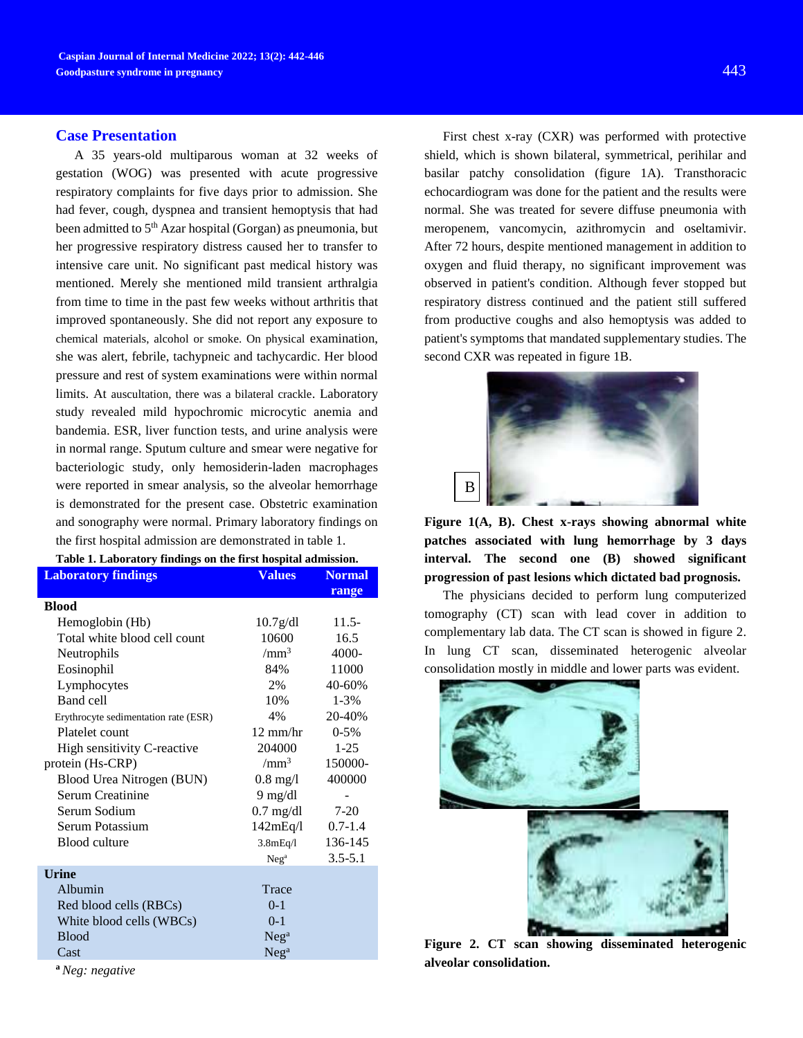### **Case Presentation**

A 35 years-old multiparous woman at 32 weeks of gestation (WOG) was presented with acute progressive respiratory complaints for five days prior to admission. She had fever, cough, dyspnea and transient hemoptysis that had been admitted to 5<sup>th</sup> Azar hospital (Gorgan) as pneumonia, but her progressive respiratory distress caused her to transfer to intensive care unit. No significant past medical history was mentioned. Merely she mentioned mild transient arthralgia from time to time in the past few weeks without arthritis that improved spontaneously. She did not report any exposure to chemical materials, alcohol or smoke. On physical examination, she was alert, febrile, tachypneic and tachycardic. Her blood pressure and rest of system examinations were within normal limits. At auscultation, there was a bilateral crackle. Laboratory study revealed mild hypochromic microcytic anemia and bandemia. ESR, liver function tests, and urine analysis were in normal range. Sputum culture and smear were negative for bacteriologic study, only hemosiderin-laden macrophages were reported in smear analysis, so the alveolar hemorrhage is demonstrated for the present case. Obstetric examination and sonography were normal. Primary laboratory findings on the first hospital admission are demonstrated in table 1.

| Table 1. Laboratory findings on the first hospital admission. |                       |               |  |
|---------------------------------------------------------------|-----------------------|---------------|--|
| <b>Laboratory findings</b>                                    | <b>Values</b>         | <b>Normal</b> |  |
|                                                               |                       | range         |  |
| <b>Blood</b>                                                  |                       |               |  |
| Hemoglobin (Hb)                                               | 10.7 <sub>g</sub> /dl | $11.5-$       |  |
| Total white blood cell count                                  | 10600                 | 16.5          |  |
| Neutrophils                                                   | /mm <sup>3</sup>      | $4000 -$      |  |
| Eosinophil                                                    | 84%                   | 11000         |  |
| Lymphocytes                                                   | 2%                    | 40-60%        |  |
| Band cell                                                     | 10%                   | $1 - 3%$      |  |
| Erythrocyte sedimentation rate (ESR)                          | 4%                    | 20-40%        |  |
| Platelet count                                                | $12 \text{ mm/hr}$    | $0-5%$        |  |
| High sensitivity C-reactive                                   | 204000                | $1-25$        |  |
| protein (Hs-CRP)                                              | /mm <sup>3</sup>      | 150000-       |  |
| Blood Urea Nitrogen (BUN)                                     | $0.8 \text{ mg}/l$    | 400000        |  |
| Serum Creatinine                                              | $9 \text{ mg/dl}$     |               |  |
| Serum Sodium                                                  | $0.7$ mg/dl           | $7-20$        |  |
| Serum Potassium                                               | 142mEq/I              | $0.7 - 1.4$   |  |
| Blood culture                                                 | 3.8mEq/1              | 136-145       |  |
|                                                               | Neg <sup>a</sup>      | $3.5 - 5.1$   |  |
| <b>Urine</b>                                                  |                       |               |  |
| Albumin                                                       | Trace                 |               |  |
| Red blood cells (RBCs)                                        | $0-1$                 |               |  |
| White blood cells (WBCs)                                      | $0 - 1$               |               |  |
| <b>Blood</b>                                                  | Neq <sup>a</sup>      |               |  |
| Cast                                                          | Neg <sup>a</sup>      |               |  |

**<sup>a</sup>***Neg: negative*

First chest x-ray (CXR) was performed with protective shield, which is shown bilateral, symmetrical, perihilar and basilar patchy consolidation (figure 1A). [Transthoracic](http://www.google.com/url?sa=t&rct=j&q=&esrc=s&source=web&cd=1&ved=0CB0QFjAAahUKEwiVsqX-iorGAhXCD3IKHW7lAF0&url=http%3A%2F%2Fmy.clevelandclinic.org%2Fservices%2Fheart%2Fdiagnostics-testing%2Fultrasound-tests%2Ftransthoracic-echocardiogram-tte&ei=Dcd6VdX3DMKfyAPuyoPoBQ&usg=AFQjCNGWp9m3M6-ZaPyht5aB-y1836LMTw&bvm=bv.95515949,d.bGQ)  [echocardiogram](http://www.google.com/url?sa=t&rct=j&q=&esrc=s&source=web&cd=1&ved=0CB0QFjAAahUKEwiVsqX-iorGAhXCD3IKHW7lAF0&url=http%3A%2F%2Fmy.clevelandclinic.org%2Fservices%2Fheart%2Fdiagnostics-testing%2Fultrasound-tests%2Ftransthoracic-echocardiogram-tte&ei=Dcd6VdX3DMKfyAPuyoPoBQ&usg=AFQjCNGWp9m3M6-ZaPyht5aB-y1836LMTw&bvm=bv.95515949,d.bGQ) was done for the patient and the results were normal. She was treated for severe diffuse pneumonia with meropenem, vancomycin, azithromycin and oseltamivir. After 72 hours, despite mentioned management in addition to oxygen and fluid therapy, no significant improvement was observed in patient's condition. Although fever stopped but respiratory distress continued and the patient still suffered from productive coughs and also hemoptysis was added to patient's symptoms that mandated supplementary studies. The second CXR was repeated in figure 1B.



**Figure 1(A, B). Chest x-rays showing abnormal white patches associated with lung hemorrhage by 3 days interval. The second one (B) showed significant progression of past lesions which dictated bad prognosis.**

The physicians decided to perform lung computerized tomography (CT) scan with lead cover in addition to complementary lab data. The CT scan is showed in figure 2. In lung CT scan, disseminated heterogenic alveolar consolidation mostly in middle and lower parts was evident.



**Figure 2. CT scan showing disseminated heterogenic alveolar consolidation.**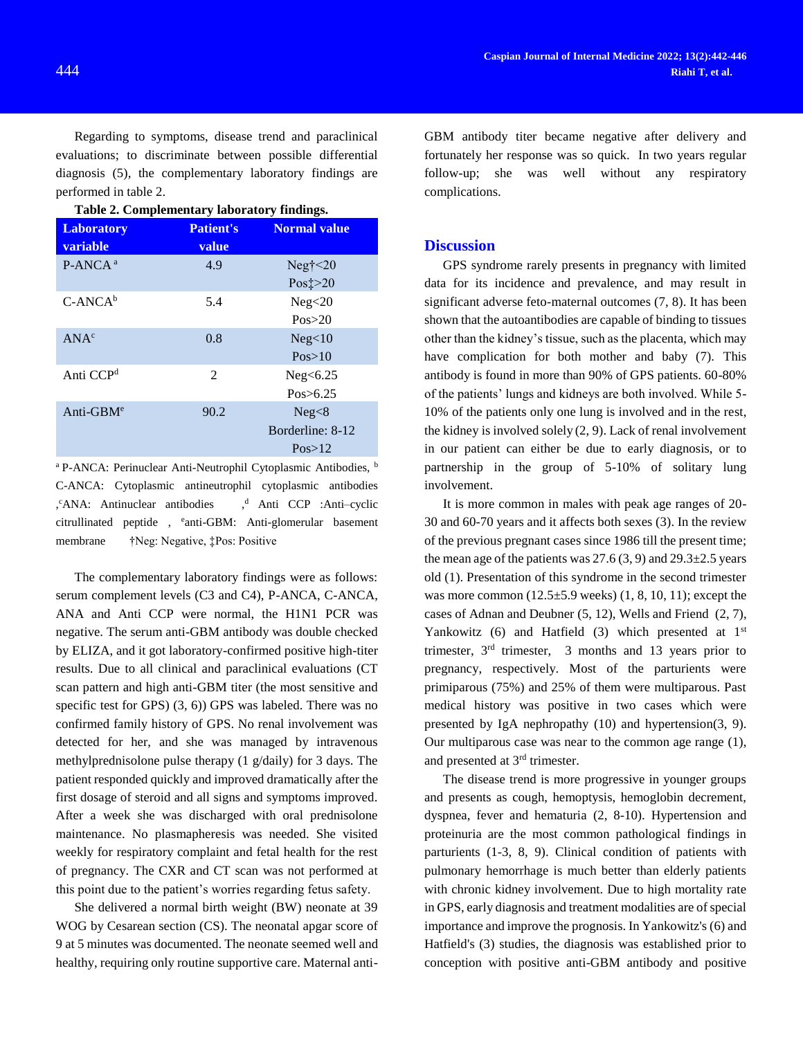Regarding to symptoms, disease trend and paraclinical evaluations; to discriminate between possible differential diagnosis (5), the complementary laboratory findings are performed in table 2.

| Table 2. Complementary laboratory findings. |                           |                                      |  |
|---------------------------------------------|---------------------------|--------------------------------------|--|
| <b>Laboratory</b><br>variable               | <b>Patient's</b><br>value | <b>Normal value</b>                  |  |
| $P-ANCA^a$                                  | 4.9                       | Neg† $\leq$ 20<br>Pos $\ddagger$ >20 |  |
| $C-ANCAb$                                   | 5.4                       | Neg<20<br>Pos > 20                   |  |
| ANA <sup>c</sup>                            | 0.8                       | Neg<10<br>Pos>10                     |  |
| Anti CCP <sup>d</sup>                       | 2                         | Neg<6.25<br>Pos > 6.25               |  |
| Anti-GB $Me$                                | 90.2                      | Neg<8<br>Borderline: 8-12<br>Pos>12  |  |

<sup>a</sup> P-ANCA: Perinuclear Anti-Neutrophil Cytoplasmic Antibodies, <sup>b</sup> C-ANCA: Cytoplasmic antineutrophil cytoplasmic antibodies ,<sup>c</sup>ANA: Antinuclear antibodies ,<sup>d</sup> Anti CCP :Anti-cyclic [citrullinated peptide](http://en.wikipedia.org/wiki/Anti%E2%80%93citrullinated_protein_antibody), <sup>e</sup>anti-GBM: Anti-glomerular basement membrane †Neg: Negative, ‡Pos: Positive

The complementary laboratory findings were as follows: serum complement levels (C3 and C4), P-ANCA, C-ANCA, ANA and Anti CCP were normal, the H1N1 PCR was negative. The serum anti-GBM antibody was double checked by ELIZA, and it got laboratory-confirmed positive high-titer results. Due to all clinical and paraclinical evaluations (CT scan pattern and high anti-GBM titer (the most sensitive and specific test for GPS) (3, 6)) GPS was labeled. There was no confirmed family history of GPS. No renal involvement was detected for her, and she was managed by intravenous methylprednisolone pulse therapy (1 g/daily) for 3 days. The patient responded quickly and improved dramatically after the first dosage of steroid and all signs and symptoms improved. After a week she was discharged with oral prednisolone maintenance. No plasmapheresis was needed. She visited weekly for respiratory complaint and fetal health for the rest of pregnancy. The CXR and CT scan was not performed at this point due to the patient's worries regarding fetus safety.

She delivered a normal birth weight (BW) neonate at 39 WOG by Cesarean section (CS). The neonatal apgar score of 9 at 5 minutes was documented. The neonate seemed well and healthy, requiring only routine supportive care. Maternal anti-

GBM antibody titer became negative after delivery and fortunately her response was so quick. In two years regular follow-up; she was well without any respiratory complications.

## **Discussion**

GPS syndrome rarely presents in pregnancy with limited data for its incidence and prevalence, and may result in significant adverse feto-maternal outcomes (7, 8). It has been shown that the autoantibodies are capable of binding to tissues other than the kidney's tissue, such as the placenta, which may have complication for both mother and baby (7). This antibody is found in more than 90% of GPS patients. 60-80% of the patients' lungs and kidneys are both involved. While 5- 10% of the patients only one lung is involved and in the rest, the kidney is involved solely (2, 9). Lack of renal involvement in our patient can either be due to early diagnosis, or to partnership in the group of 5-10% of solitary lung involvement.

It is more common in males with peak age ranges of 20- 30 and 60-70 years and it affects both sexes (3). In the review of the previous pregnant cases since 1986 till the present time; the mean age of the patients was  $27.6$  (3, 9) and  $29.3\pm2.5$  years old (1). Presentation of this syndrome in the second trimester was more common  $(12.5\pm5.9$  weeks)  $(1, 8, 10, 11)$ ; except the cases of Adnan and Deubner (5, 12), Wells and Friend (2, 7), Yankowitz (6) and Hatfield (3) which presented at  $1<sup>st</sup>$ trimester, 3rd trimester, 3 months and 13 years prior to pregnancy, respectively. Most of the parturients were primiparous (75%) and 25% of them were multiparous. Past medical history was positive in two cases which were presented by IgA nephropathy (10) and hypertension(3, 9). Our multiparous case was near to the common age range (1), and presented at 3<sup>rd</sup> trimester.

The disease trend is more progressive in younger groups and presents as cough, hemoptysis, hemoglobin decrement, dyspnea, fever and hematuria (2, 8-10). Hypertension and proteinuria are the most common pathological findings in parturients (1-3, 8, 9). Clinical condition of patients with pulmonary hemorrhage is much better than elderly patients with chronic kidney involvement. Due to high mortality rate in GPS, early diagnosis and treatment modalities are of special importance and improve the prognosis. In Yankowitz's (6) and Hatfield's (3) studies, the diagnosis was established prior to conception with positive anti-GBM antibody and positive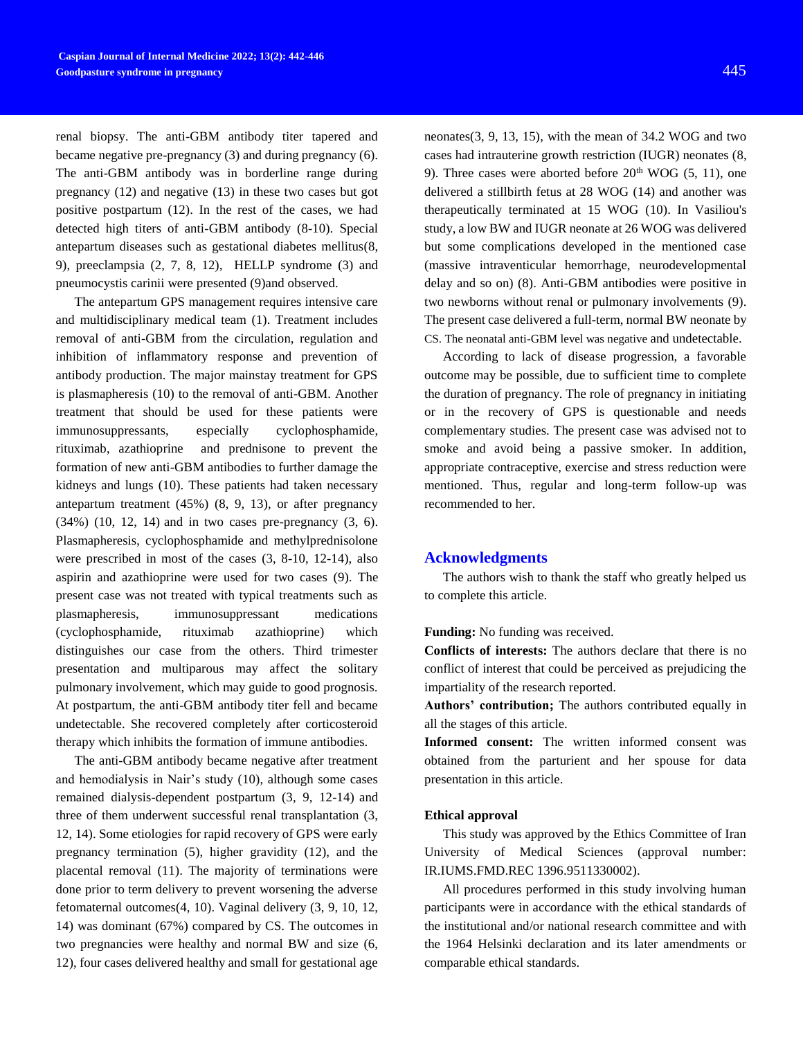renal biopsy. The anti-GBM antibody titer tapered and became negative pre-pregnancy (3) and during pregnancy (6). The anti-GBM antibody was in borderline range during pregnancy (12) and negative (13) in these two cases but got positive postpartum (12). In the rest of the cases, we had detected high titers of anti-GBM antibody (8-10). Special antepartum diseases such as gestational diabetes mellitus(8, 9), preeclampsia (2, 7, 8, 12), HELLP syndrome (3) and pneumocystis carinii were presented (9)and observed.

The antepartum GPS management requires intensive care and multidisciplinary medical team (1). Treatment includes removal of anti-GBM from the circulation, regulation and inhibition of inflammatory response and prevention of antibody production. The major mainstay treatment for GPS is plasmapheresis (10) to the removal of anti-GBM. Another treatment that should be used for these patients were immunosuppressants, especially cyclophosphamide, rituximab, azathioprine and prednisone to prevent the formation of new anti-GBM antibodies to further damage the kidneys and lungs (10). These patients had taken necessary antepartum treatment (45%) (8, 9, 13), or after pregnancy (34%) (10, 12, 14) and in two cases pre-pregnancy (3, 6). Plasmapheresis, cyclophosphamide and methylprednisolone were prescribed in most of the cases (3, 8-10, 12-14), also aspirin and azathioprine were used for two cases (9). The present case was not treated with typical treatments such as plasmapheresis, immunosuppressant medications (cyclophosphamide, rituximab azathioprine) which distinguishes our case from the others. Third trimester presentation and multiparous may affect the solitary pulmonary involvement, which may guide to good prognosis. At postpartum, the anti-GBM antibody titer fell and became undetectable. She recovered completely after corticosteroid therapy which inhibits the formation of immune antibodies.

The anti-GBM antibody became negative after treatment and hemodialysis in Nair's study (10), although some cases remained dialysis-dependent postpartum (3, 9, 12-14) and three of them underwent successful renal transplantation (3, 12, 14). Some etiologies for rapid recovery of GPS were early pregnancy termination (5), higher gravidity (12), and the placental removal (11). The majority of terminations were done prior to term delivery to prevent worsening the adverse fetomaternal outcomes(4, 10). Vaginal delivery (3, 9, 10, 12, 14) was dominant (67%) compared by CS. The outcomes in two pregnancies were healthy and normal BW and size (6, 12), four cases delivered healthy and small for gestational age

neonates(3, 9, 13, 15), with the mean of 34.2 WOG and two cases had intrauterine growth restriction (IUGR) neonates (8, 9). Three cases were aborted before  $20<sup>th</sup>$  WOG (5, 11), one delivered a stillbirth fetus at 28 WOG (14) and another was therapeutically terminated at 15 WOG (10). In Vasiliou's study, a low BW and IUGR neonate at 26 WOG was delivered but some complications developed in the mentioned case (massive intraventicular hemorrhage, neurodevelopmental delay and so on) (8). Anti-GBM antibodies were positive in two newborns without renal or pulmonary involvements (9). The present case delivered a full-term, normal BW neonate by CS. The neonatal anti-GBM level was negative and undetectable.

According to lack of disease progression, a favorable outcome may be possible, due to sufficient time to complete the duration of pregnancy. The role of pregnancy in initiating or in the recovery of GPS is questionable and needs complementary studies. The present case was advised not to smoke and avoid being a passive smoker. In addition, appropriate contraceptive, exercise and stress reduction were mentioned. Thus, regular and long-term follow-up was recommended to her.

### **Acknowledgments**

The authors wish to thank the staff who greatly helped us to complete this article.

**Funding:** No funding was received.

**Conflicts of interests:** The authors declare that there is no conflict of interest that could be perceived as prejudicing the impartiality of the research reported.

**Authors' contribution;** The authors contributed equally in all the stages of this article.

**Informed consent:** The written informed consent was obtained from the parturient and her spouse for data presentation in this article.

#### **Ethical approval**

This study was approved by the Ethics Committee of Iran University of Medical Sciences (approval number: IR.IUMS.FMD.REC 1396.9511330002).

All procedures performed in this study involving human participants were in accordance with the ethical standards of the institutional and/or national research committee and with the 1964 Helsinki declaration and its later amendments or comparable ethical standards.